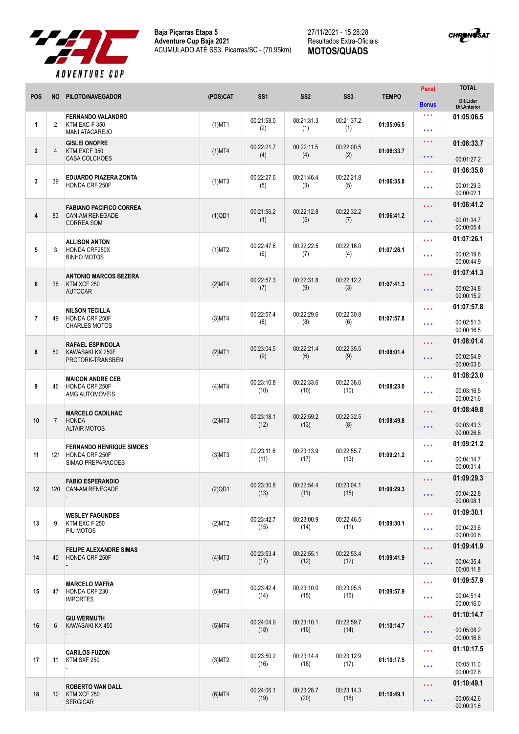



|                |                |                                                                               |              |                    |                    |                    |              | Penal                                          | <b>TOTAL</b>                           |
|----------------|----------------|-------------------------------------------------------------------------------|--------------|--------------------|--------------------|--------------------|--------------|------------------------------------------------|----------------------------------------|
| <b>POS</b>     | <b>NO</b>      | PILOTO/NAVEGADOR                                                              | (POS)CAT     | SS <sub>1</sub>    | SS <sub>2</sub>    | SS <sub>3</sub>    | <b>TEMPO</b> | <b>Bonus</b>                                   | Dif.Lider<br><b>Dif.Anterior</b>       |
| $\mathbf{1}$   | $\overline{2}$ | <b>FERNANDO VALANDRO</b><br>KTM EXC-F 350<br><b>MANI ATACAREJO</b>            | $(1)$ MT1    | 00:21:58.0<br>(2)  | 00:21:31.3<br>(1)  | 00:21:37.2<br>(1)  | 01:05:06.5   | $***$<br>* * *                                 | 01:05:06.5                             |
| $\overline{2}$ | 4              | <b>GISLEI ONOFRE</b><br>KTM EXCF 350<br><b>CASA COLCHOES</b>                  | $(1)$ MT4    | 00:22:21.7<br>(4)  | 00:22:11.5<br>(4)  | 00:22:00.5<br>(2)  | 01:06:33.7   | $\star \star \star$<br>* * *                   | 01:06:33.7<br>00:01:27.2               |
| $\mathbf{3}$   | 39             | EDUARDO PIAZERA ZONTA<br>HONDA CRF 250F                                       | $(1)$ MT3    | 00:22:27.6<br>(5)  | 00:21:46.4<br>(3)  | 00:22:21.8<br>(5)  | 01:06:35.8   | * * *<br>* * *                                 | 01:06:35.8<br>00:01:29.3<br>00:00:02.1 |
| $\overline{4}$ | 83             | <b>FABIANO PACIFICO CORREA</b><br><b>CAN-AM RENEGADE</b><br><b>CORREA SOM</b> | $(1)$ QD1    | 00:21:56.2<br>(1)  | 00:22:12.8<br>(5)  | 00:22:32.2<br>(7)  | 01:06:41.2   | * * *<br>* * *                                 | 01:06:41.2<br>00:01:34.7<br>00:00:05.4 |
| 5              | 3              | <b>ALLISON ANTON</b><br>HONDA CRF250X<br><b>BINHO MOTOS</b>                   | $(1)$ MT2    | 00:22:47.6<br>(6)  | 00:22:22.5<br>(7)  | 00:22:16.0<br>(4)  | 01:07:26.1   | * * *<br>* * *                                 | 01:07:26.1<br>00:02:19.6<br>00:00:44.9 |
| 6              | 36             | <b>ANTONIO MARCOS BEZERA</b><br>KTM XCF 250<br><b>AUTOCAR</b>                 | (2)MT4       | 00:22:57.3<br>(7)  | 00:22:31.8<br>(9)  | 00:22:12.2<br>(3)  | 01:07:41.3   | * * *<br>* * *                                 | 01:07:41.3<br>00:02:34.8<br>00:00:15.2 |
| $\overline{7}$ | 49             | <b>NILSON TECILLA</b><br>HONDA CRF 250F<br><b>CHARLES MOTOS</b>               | $(3)$ MT4    | 00:22:57.4<br>(8)  | 00:22:29.6<br>(8)  | 00:22:30.8<br>(6)  | 01:07:57.8   | * * *<br>* * *                                 | 01:07:57.8<br>00:02:51.3<br>00:00:16.5 |
| 8              | 50             | <b>RAFAEL ESPINDOLA</b><br>KAWASAKI KX 250F<br>PROTORK-TRANSBEN               | $(2)$ MT1    | 00:23:04.5<br>(9)  | 00:22:21.4<br>(6)  | 00:22:35.5<br>(9)  | 01:08:01.4   | * * *<br>* * *                                 | 01:08:01.4<br>00:02:54.9<br>00:00:03.6 |
| 9              | 46             | <b>MAICON ANDRE CEB</b><br>HONDA CRF 250F<br>AMG AUTOMOVEIS                   | (4)MT4       | 00:23:10.8<br>(10) | 00:22:33.6<br>(10) | 00:22:38.6<br>(10) | 01:08:23.0   | * * *<br>* * *                                 | 01:08:23.0<br>00:03:16.5<br>00:00:21.6 |
| 10             | $\overline{7}$ | <b>MARCELO CADILHAC</b><br><b>HONDA</b><br><b>ALTAIR MOTOS</b>                | (2)MT3       | 00:23:18.1<br>(12) | 00:22:59.2<br>(13) | 00:22:32.5<br>(8)  | 01:08:49.8   | * * *<br>* * *                                 | 01:08:49.8<br>00:03:43.3<br>00:00:26.8 |
| 11             | 121            | <b>FERNANDO HENRIQUE SIMOES</b><br>HONDA CRF 250F<br>SIMAO PREPARACOES        | $(3)$ MT $3$ | 00:23:11.6<br>(11) | 00:23:13.9<br>(17) | 00:22:55.7<br>(13) | 01:09:21.2   | * * *<br>* * *                                 | 01:09:21.2<br>00:04:14.7<br>00:00:31.4 |
| 12             | 120            | <b>FABIO ESPERANDIO</b><br>CAN-AM RENEGADE                                    | $(2)$ QD1    | 00:23:30.8<br>(13) | 00:22:54.4<br>(11) | 00:23:04.1<br>(15) | 01:09:29.3   | $\star$ $\star$ $\star$<br>$\star \star \star$ | 01:09:29.3<br>00:04:22.8<br>00:00:08.1 |
| 13             | 9              | <b>WESLEY FAGUNDES</b><br>KTM EXC F 250<br>PIU MOTOS                          | (2)MT2       | 00:23:42.7<br>(15) | 00:23:00.9<br>(14) | 00:22:46.5<br>(11) | 01:09:30.1   | $\star$ $\star$ $\star$<br>* * *               | 01:09:30.1<br>00:04:23.6<br>00:00:00.8 |
| 14             | 40             | <b>FELIPE ALEXANDRE SIMAS</b><br>HONDA CRF 250F                               | $(4)$ MT3    | 00:23:53.4<br>(17) | 00:22:55.1<br>(12) | 00:22:53.4<br>(12) | 01:09:41.9   | ***<br>$\star \star \star$                     | 01:09:41.9<br>00:04:35.4<br>00:00:11.8 |
| 15             | 47             | <b>MARCELO MAFRA</b><br>HONDA CRF 230<br><b>IMPORTES</b>                      | $(5)$ MT3    | 00:23:42.4<br>(14) | 00:23:10.0<br>(15) | 00:23:05.5<br>(16) | 01:09:57.9   | ***<br>* * *                                   | 01:09:57.9<br>00:04:51.4<br>00:00:16.0 |
| 16             | 6              | <b>GIU WERMUTH</b><br>KAWASAKI KX 450                                         | $(5)$ MT4    | 00:24:04.9<br>(18) | 00:23:10.1<br>(16) | 00:22:59.7<br>(14) | 01:10:14.7   | $\star \star \star$<br>***                     | 01:10:14.7<br>00:05:08.2<br>00:00:16.8 |
| 17             | 11             | <b>CARILOS FUZON</b><br>KTM SXF 250                                           | (3)MT2       | 00:23:50.2<br>(16) | 00:23:14.4<br>(18) | 00:23:12.9<br>(17) | 01:10:17.5   | $\star$ $\star$ $\star$<br>***                 | 01:10:17.5<br>00:05:11.0<br>00:00:02.8 |
| 18             | 10             | <b>ROBERTO WAN DALL</b><br>KTM XCF 250<br><b>SERGICAR</b>                     | $(6)$ MT4    | 00:24:06.1<br>(19) | 00:23:28.7<br>(20) | 00:23:14.3<br>(18) | 01:10:49.1   | $\star \star \star$<br>$\star$ $\star$ $\star$ | 01:10:49.1<br>00:05:42.6<br>00:00:31.6 |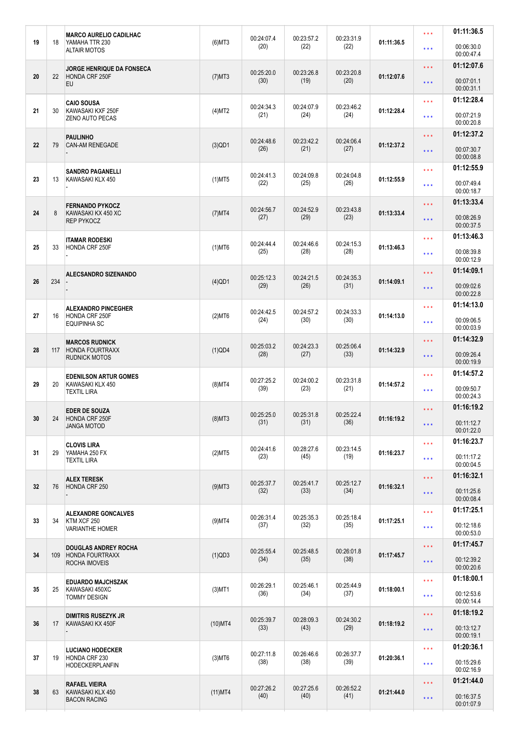| 19 |     | <b>MARCO AURELIO CADILHAC</b><br>YAMAHA TTR 230<br><b>ALTAIR MOTOS</b> | $(6)$ MT3  | 00:24:07.4<br>(20) | 00:23:57.2<br>(22) | 00:23:31.9<br>(22) | 01:11:36.5 | * * *               | 01:11:36.5               |
|----|-----|------------------------------------------------------------------------|------------|--------------------|--------------------|--------------------|------------|---------------------|--------------------------|
|    | 18  |                                                                        |            |                    |                    |                    |            | * * *               | 00:06:30.0<br>00:00:47.4 |
|    |     | <b>JORGE HENRIQUE DA FONSECA</b><br>HONDA CRF 250F<br><b>EU</b>        | $(7)$ MT3  |                    |                    |                    |            | * * *               | 01:12:07.6               |
| 20 | 22  |                                                                        |            | 00:25:20.0<br>(30) | 00:23:26.8<br>(19) | 00:23:20.8<br>(20) | 01:12:07.6 | * * *               | 00:07:01.1<br>00:00:31.1 |
|    |     | <b>CAIO SOUSA</b>                                                      |            | 00:24:34.3         | 00:24:07.9         | 00:23:46.2         |            | * * *               | 01:12:28.4               |
| 21 | 30  | KAWASAKI KXF 250F<br>ZENO AUTO PECAS                                   | (4)MT2     | (21)               | (24)               | (24)               | 01:12:28.4 | * * *               | 00:07:21.9<br>00:00:20.8 |
|    |     | <b>PAULINHO</b>                                                        |            | 00:24:48.6         | 00:23:42.2         | 00:24:06.4         |            | * * *               | 01:12:37.2               |
| 22 | 79  | <b>CAN-AM RENEGADE</b>                                                 | $(3)$ QD1  | (26)               | (21)               | (27)               | 01:12:37.2 | * * *               | 00:07:30.7<br>00:00:08.8 |
| 23 | 13  | <b>SANDRO PAGANELLI</b><br>KAWASAKI KLX 450                            | $(1)$ MT5  | 00:24:41.3         | 00:24:09.8         | 00:24:04.8         | 01:12:55.9 | * * *               | 01:12:55.9               |
|    |     |                                                                        |            | (22)               | (25)               | (26)               |            | ***                 | 00:07:49.4<br>00:00:18.7 |
| 24 | 8   | <b>FERNANDO PYKOCZ</b><br>KAWASAKI KX 450 XC                           | $(7)$ MT4  | 00:24:56.7         | 00:24:52.9         | 00:23:43.8         | 01:13:33.4 | * * *               | 01:13:33.4               |
|    |     | <b>REP PYKOCZ</b>                                                      |            | (27)               | (29)               | (23)               |            | * * *               | 00:08:26.9<br>00:00:37.5 |
|    |     | ITAMAR RODESKI                                                         |            | 00:24:44.4         | 00:24:46.6         | 00:24:15.3         |            | * * *               | 01:13:46.3               |
| 25 | 33  | HONDA CRF 250F                                                         | $(1)$ MT6  | (25)               | (28)               | (28)               | 01:13:46.3 | * * *               | 00:08:39.8<br>00:00:12.9 |
|    |     | <b>ALECSANDRO SIZENANDO</b>                                            |            |                    |                    |                    |            | * * *               | 01:14:09.1               |
| 26 | 234 |                                                                        | $(4)$ QD1  | 00:25:12.3<br>(29) | 00:24:21.5<br>(26) | 00:24:35.3<br>(31) | 01:14:09.1 | $\star \star \star$ | 00:09:02.6<br>00:00:22.8 |
|    |     | <b>ALEXANDRO PINCEGHER</b>                                             |            | 00:24:42.5         | 00:24:57.2         | 00:24:33.3         |            | * * *               | 01:14:13.0               |
| 27 | 16  | HONDA CRF 250F<br><b>EQUIPINHA SC</b>                                  | $(2)$ MT6  | (24)               | (30)               | (30)               | 01:14:13.0 | * * *               | 00:09:06.5<br>00:00:03.9 |
|    |     | <b>MARCOS RUDNICK</b>                                                  |            | 00:25:03.2         | 00:24:23.3         | 00:25:06.4         |            | * * *               | 01:14:32.9               |
| 28 | 117 | <b>HONDA FOURTRAXX</b><br><b>RUDNICK MOTOS</b>                         | (1)QD4     | (28)               | (27)               | (33)               | 01:14:32.9 | $\star \star \star$ | 00:09:26.4<br>00:00:19.9 |
| 29 | 20  | <b>EDENILSON ARTUR GOMES</b><br>KAWASAKI KLX 450<br><b>TEXTIL LIRA</b> |            | 00:27:25.2         | 00:24:00.2         | 00:23:31.8<br>(21) | 01:14:57.2 | * * *               | 01:14:57.2               |
|    |     |                                                                        | $(8)$ MT4  | (39)               | (23)               |                    |            | ***                 | 00:09:50.7<br>00:00:24.3 |
|    |     | <b>EDER DE SOUZA</b>                                                   |            |                    | 00:25:31.8         | 00:25:22.4         |            | $\star \star \star$ | 01:16:19.2               |
| 30 | 24  | HONDA CRF 250F<br><b>JANGA MOTOD</b>                                   | $(8)$ MT3  | 00:25:25.0<br>(31) | (31)               | (36)               | 01:16:19.2 | ***                 | 00:11:12.7<br>00:01:22.0 |
|    |     | CLOVIS LIRA                                                            |            | 00:24:41.6         | 00:28:27.6         | 00:23:14.5<br>(19) | 01:16:23.7 | * * *               | 01:16:23.7               |
| 31 | 29  | YAMAHA 250 FX<br><b>TEXTIL LIRA</b>                                    | (2)MT5     | (23)               | (45)               |                    |            | * * *               | 00:11:17.2<br>00:00:04.5 |
|    |     | <b>ALEX TERESK</b><br>HONDA CRF 250                                    |            | 00:25:37.7<br>(32) | 00:25:41.7<br>(33) | 00:25:12.7<br>(34) | 01:16:32.1 | $\star \star \star$ | 01:16:32.1               |
| 32 | 76  |                                                                        | $(9)$ MT3  |                    |                    |                    |            | $\star \star \star$ | 00:11:25.6               |
|    |     |                                                                        |            |                    |                    |                    |            | * * *               | 00:00:08.4<br>01:17:25.1 |
| 33 | 34  | <b>ALEXANDRE GONCALVES</b><br>KTM XCF 250                              | $(9)$ MT4  | 00:26:31.4<br>(37) | 00:25:35.3<br>(32) | 00:25:18.4<br>(35) | 01:17:25.1 | * * *               | 00:12:18.6               |
|    |     | <b>VARIANTHE HOMER</b>                                                 |            |                    |                    |                    |            |                     | 00:00:53.0               |
| 34 | 109 | <b>DOUGLAS ANDREY ROCHA</b><br><b>HONDA FOURTRAXX</b>                  | (1)QD3     | 00:25:55.4         | 00:25:48.5         | 00:26:01.8         | 01:17:45.7 | * * *               | 01:17:45.7               |
|    |     | ROCHA IMOVEIS                                                          |            | (34)               | (35)               | (38)               |            | $\star \star \star$ | 00:12:39.2<br>00:00:20.6 |
| 35 | 25  | <b>EDUARDO MAJCHSZAK</b><br>KAWASAKI 450XC<br><b>TOMMY DESIGN</b>      | $(3)$ MT1  | 00:26:29.1<br>(36) | 00:25:46.1<br>(34) | 00:25:44.9<br>(37) | 01:18:00.1 | * * *               | 01:18:00.1               |
|    |     |                                                                        |            |                    |                    |                    |            | * * *               | 00:12:53.6<br>00:00:14.4 |
| 36 |     | <b>DIMITRIS RUSEZYK JR</b><br>KAWASAKI KX 450F                         | $(10)$ MT4 | 00:25:39.7<br>(33) | 00:28:09.3<br>(43) | 00:24:30.2<br>(29) | 01:18:19.2 | $\star \star \star$ | 01:18:19.2               |
|    | 17  |                                                                        |            |                    |                    |                    |            | $\star \star \star$ | 00:13:12.7<br>00:00:19.1 |
|    |     | <b>LUCIANO HODECKER</b>                                                |            |                    |                    |                    | 01:20:36.1 | * * *               | 01:20:36.1               |
| 37 | 19  | HONDA CRF 230<br><b>HODECKERPLANFIN</b>                                | $(3)$ MT6  | 00:27:11.8<br>(38) | 00:26:46.6<br>(38) | 00:26:37.7<br>(39) |            | * * *               | 00:15:29.6<br>00:02:16.9 |
|    |     | <b>RAFAEL VIEIRA</b>                                                   |            |                    |                    |                    |            | $\star \star \star$ | 01:21:44.0               |
| 38 | 63  | KAWASAKI KLX 450<br><b>BACON RACING</b>                                | $(11)$ MT4 | 00:27:26.2<br>(40) | 00:27:25.6<br>(40) | 00:26:52.2<br>(41) | 01:21:44.0 | * * *               | 00:16:37.5<br>00:01:07.9 |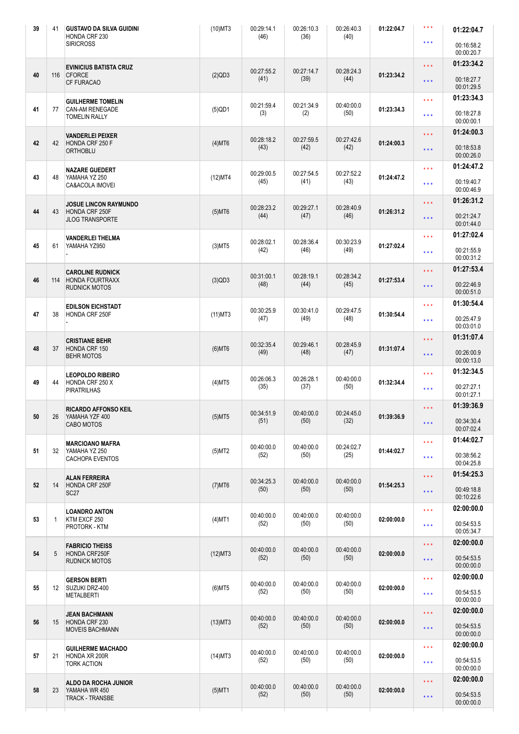| 39     | 41                | <b>GUSTAVO DA SILVA GUIDINI</b><br>HONDA CRF 230                | $(10)$ MT3 | 00:29:14.1<br>(46) | 00:26:10.3<br>(36) | 00:26:40.3<br>(40) | 01:22:04.7 | $\star \star \star$     | 01:22:04.7               |
|--------|-------------------|-----------------------------------------------------------------|------------|--------------------|--------------------|--------------------|------------|-------------------------|--------------------------|
|        |                   | <b>SIRICROSS</b>                                                |            |                    |                    |                    |            | $\star \star \star$     | 00:16:58.2<br>00:00:20.7 |
|        |                   | <b>EVINICIUS BATISTA CRUZ</b>                                   |            | 00:27:55.2         | 00:27:14.7         | 00:28:24.3         |            | * * *                   | 01:23:34.2               |
| 40     | 116               | <b>CFORCE</b><br>CF FURACAO                                     | (2)QD3     | (41)               | (39)               | (44)               | 01:23:34.2 | $\star$ $\star$ $\star$ | 00:18:27.7<br>00:01:29.5 |
|        |                   | <b>GUILHERME TOMELIN</b>                                        |            | 00:21:59.4         | 00:21:34.9         | 00:40:00.0         |            | $\star \star \star$     | 01:23:34.3               |
| 41     | 77                | <b>CAN-AM RENEGADE</b><br><b>TOMELIN RALLY</b>                  | $(5)$ QD1  | (3)                | (2)                | (50)               | 01:23:34.3 | $\star \star \star$     | 00:18:27.8<br>00:00:00.1 |
|        |                   | VANDERLEI PEIXER                                                |            | 00:28:18.2         | 00:27:59.5         | 00:27:42.6         |            | $\star \star \star$     | 01:24:00.3               |
| 42     | 42                | HONDA CRF 250 F<br><b>ORTHOBLU</b>                              | $(4)$ MT6  | (43)               | (42)               | (42)               | 01:24:00.3 | $\star \star \star$     | 00:18:53.8<br>00:00:26.0 |
|        |                   | <b>NAZARE GUEDERT</b>                                           |            | 00:29:00.5         | 00:27:54.5         | 00:27:52.2         |            | $\star \star \star$     | 01:24:47.2               |
| 43     | 48                | YAMAHA YZ 250<br>CA&ACOLA IMOVEI                                | (12)MT4    | (45)               | (41)               | (43)               | 01:24:47.2 | $\star \star \star$     | 00:19:40.7<br>00:00:46.9 |
|        |                   | JOSUE LINCON RAYMUNDO                                           |            | 00:28:23.2         | 00:29:27.1         | 00:28:40.9         |            | $\star \star \star$     | 01:26:31.2               |
| 44     | 43                | HONDA CRF 250F<br><b>JLOG TRANSPORTE</b>                        | $(5)$ MT6  | (44)               | (47)               | (46)               | 01:26:31.2 | $\star \star \star$     | 00:21:24.7<br>00:01:44.0 |
|        |                   | <b>VANDERLEI THELMA</b>                                         |            | 00:28:02.1         | 00:28:36.4         | 00:30:23.9         |            | $\star \star \star$     | 01:27:02.4               |
| 45     | 61                | YAMAHA YZ950                                                    | $(3)$ MT5  | (42)               | (46)               | (49)               | 01:27:02.4 | $\star \star \star$     | 00:21:55.9<br>00:00:31.2 |
|        |                   | <b>CAROLINE RUDNICK</b>                                         |            |                    |                    |                    |            | * * *                   | 01:27:53.4               |
| 46     | 114               | <b>HONDA FOURTRAXX</b><br><b>RUDNICK MOTOS</b>                  | (3)QD3     | 00:31:00.1<br>(48) | 00:28:19.1<br>(44) | 00:28:34.2<br>(45) | 01:27:53.4 | $\star \star \star$     | 00:22:46.9<br>00:00:51.0 |
|        | 38                | <b>EDILSON EICHSTADT</b><br>HONDA CRF 250F                      | $(11)$ MT3 | 00:30:25.9<br>(47) | 00:30:41.0<br>(49) | 00:29:47.5<br>(48) | 01:30:54.4 | $\star \star \star$     | 01:30:54.4               |
| 47     |                   |                                                                 |            |                    |                    |                    |            | $\star \star \star$     | 00:25:47.9<br>00:03:01.0 |
|        |                   | <b>CRISTIANE BEHR</b>                                           |            | 00:32:35.4         | 00:29:46.1         | 00:28:45.9         |            | $\star \star \star$     | 01:31:07.4               |
| 48     | 37                | HONDA CRF 150<br><b>BEHR MOTOS</b>                              | $(6)$ MT6  | (49)               | (48)               | (47)               | 01:31:07.4 | $\star \star \star$     | 00:26:00.9<br>00:00:13.0 |
|        |                   | <b>LEOPOLDO RIBEIRO</b>                                         |            | 00:26:06.3         | 00:26:28.1         | 00:40:00.0         |            | $\star \star \star$     | 01:32:34.5               |
| 49     | 44                | HONDA CRF 250 X<br><b>PIRATRILHAS</b>                           | $(4)$ MT5  | (35)               | (37)               | (50)               | 01:32:34.4 | $\star \star \star$     | 00:27:27.1<br>00:01:27.1 |
|        |                   | <b>RICARDO AFFONSO KEIL</b>                                     |            | 00:34:51.9         | 00:40:00.0         | 00:24:45.0         |            | $\star \star \star$     | 01:39:36.9               |
| $50\,$ | 26                | YAMAHA YZF 400<br>CABO MOTOS                                    | $(5)$ MT5  | (51)               | (50)               | (32)               | 01:39:36.9 | $\star$ $\star$ $\star$ | 00:34:30.4<br>00:07:02.4 |
|        | 32                | <b>MARCIOANO MAFRA</b>                                          |            | 00:40:00.0         | 00:40:00.0         | 00:24:02.7         |            | $\star \star \star$     | 01:44:02.7               |
| 51     |                   | YAMAHA YZ 250<br>CACHOPA EVENTOS                                | (5)MT2     | (52)               | (50)               | (25)               | 01:44:02.7 | $\star \star \star$     | 00:38:56.2<br>00:04:25.8 |
|        |                   | <b>ALAN FERREIRA</b>                                            |            |                    |                    |                    |            | $\star$ $\star$ $\star$ | 01:54:25.3               |
| 52     | 14                | HONDA CRF 250F<br><b>SC27</b>                                   | $(7)$ MT6  | 00:34:25.3<br>(50) | 00:40:00.0<br>(50) | 00:40:00.0<br>(50) | 01:54:25.3 | $\star$ $\star$ $\star$ | 00:49:18.8               |
|        |                   |                                                                 |            |                    |                    |                    |            |                         | 00:10:22.6               |
| 53     | $\mathbf{1}$      | <b>LOANDRO ANTON</b><br>KTM EXCF 250<br>PROTORK - KTM           | $(4)$ MT1  | 00:40:00.0<br>(52) | 00:40:00.0<br>(50) | 00:40:00.0<br>(50) | 02:00:00.0 | $\star \star \star$     | 02:00:00.0               |
|        |                   |                                                                 |            |                    |                    |                    |            | $\star\star\star$       | 00:54:53.5<br>00:05:34.7 |
|        |                   | <b>FABRICIO THEISS</b>                                          |            | 00:40:00.0         | 00:40:00.0         | 00:40:00.0         |            | $\star$ $\star$ $\star$ | 02:00:00.0               |
| 54     | 5                 | HONDA CRF250F<br><b>RUDNICK MOTOS</b>                           | $(12)$ MT3 | (52)               | (50)               | (50)               | 02:00:00.0 | $\star$ $\star$ $\star$ | 00:54:53.5<br>00:00:00.0 |
|        |                   | GERSON BERTI                                                    |            | 00:40:00.0         | 00:40:00.0         | 00:40:00.0         |            | $\star \star \star$     | 02:00:00.0               |
| 55     | $12 \overline{ }$ | SUZUKI DRZ-400<br><b>METALBERTI</b>                             | $(6)$ MT5  | (52)               | (50)               | (50)               | 02:00:00.0 | $\star$ $\star$ $\star$ | 00:54:53.5<br>00:00:00.0 |
|        |                   | <b>JEAN BACHMANN</b><br>HONDA CRF 230<br><b>MOVEIS BACHMANN</b> | $(13)$ MT3 | 00:40:00.0<br>(52) | 00:40:00.0<br>(50) | 00:40:00.0<br>(50) |            | $\star$ $\star$ $\star$ | 02:00:00.0               |
| 56     | 15                |                                                                 |            |                    |                    |                    | 02:00:00.0 | $\star\star\star$       | 00:54:53.5<br>00:00:00.0 |
|        |                   | <b>GUILHERME MACHADO</b>                                        |            | 00:40:00.0         | 00:40:00.0         | 00:40:00.0         | 02:00:00.0 | $\star \star \star$     | 02:00:00.0               |
| 57     | 21                | HONDA XR 200R<br><b>TORK ACTION</b>                             | $(14)$ MT3 | (52)               | (50)               | (50)               |            | $\star$ $\star$ $\star$ | 00:54:53.5<br>00:00:00.0 |
|        |                   | ALDO DA ROCHA JUNIOR                                            |            | 00:40:00.0         | 00:40:00.0         | 00:40:00.0         |            | $\star$ $\star$ $\star$ | 02:00:00.0               |
| 58     | 23                | YAMAHA WR 450<br><b>TRACK - TRANSBE</b>                         | $(5)$ MT1  | (52)               | (50)               | (50)               | 02:00:00.0 | $\star$ $\star$ $\star$ | 00:54:53.5<br>00:00:00.0 |